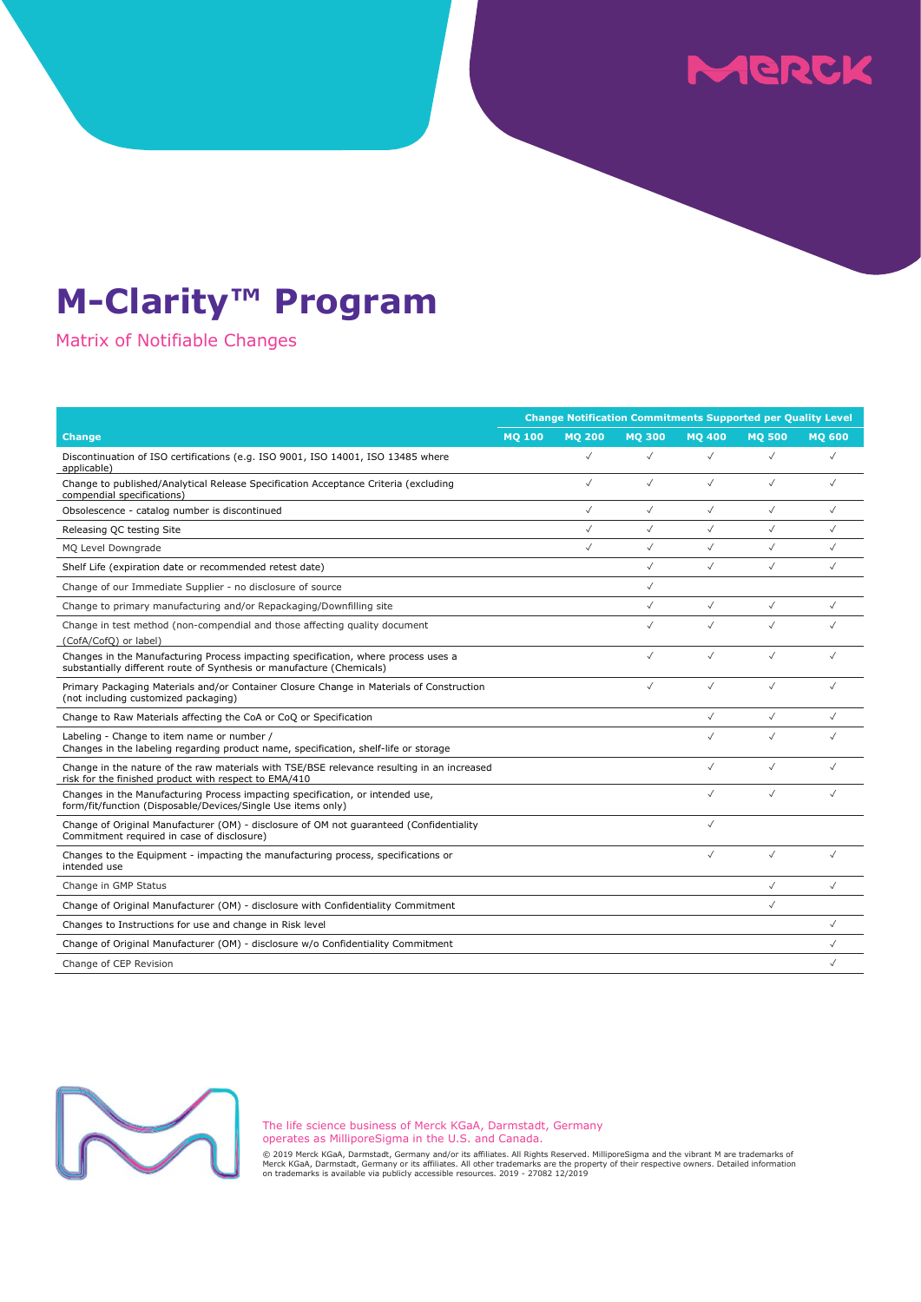## MERCK

### M-Clarity™ Program

Matrix of Notifiable Changes

|                                                                                                                                                             | <b>Change Notification Commitments Supported per Quality Level</b> |               |               |               |               |               |
|-------------------------------------------------------------------------------------------------------------------------------------------------------------|--------------------------------------------------------------------|---------------|---------------|---------------|---------------|---------------|
| <b>Change</b>                                                                                                                                               | <b>MQ 100</b>                                                      | <b>MO 200</b> | <b>MO 300</b> | <b>MO 400</b> | <b>MO 500</b> | <b>MO 600</b> |
| Discontinuation of ISO certifications (e.g. ISO 9001, ISO 14001, ISO 13485 where<br>applicable)                                                             |                                                                    | $\checkmark$  | $\checkmark$  | $\checkmark$  | $\checkmark$  | $\checkmark$  |
| Change to published/Analytical Release Specification Acceptance Criteria (excluding<br>compendial specifications)                                           |                                                                    | $\checkmark$  | $\checkmark$  | $\checkmark$  | $\checkmark$  | $\checkmark$  |
| Obsolescence - catalog number is discontinued                                                                                                               |                                                                    | $\checkmark$  | $\checkmark$  | $\checkmark$  | $\checkmark$  | $\checkmark$  |
| Releasing QC testing Site                                                                                                                                   |                                                                    | $\checkmark$  | $\checkmark$  | $\checkmark$  | $\checkmark$  | $\checkmark$  |
| MQ Level Downgrade                                                                                                                                          |                                                                    | $\checkmark$  | $\checkmark$  | $\checkmark$  | $\checkmark$  | $\checkmark$  |
| Shelf Life (expiration date or recommended retest date)                                                                                                     |                                                                    |               | $\checkmark$  | $\checkmark$  | $\checkmark$  | $\checkmark$  |
| Change of our Immediate Supplier - no disclosure of source                                                                                                  |                                                                    |               | $\checkmark$  |               |               |               |
| Change to primary manufacturing and/or Repackaging/Downfilling site                                                                                         |                                                                    |               | $\checkmark$  | $\checkmark$  | $\checkmark$  | $\checkmark$  |
| Change in test method (non-compendial and those affecting quality document<br>(CofA/CofQ) or label)                                                         |                                                                    |               | $\checkmark$  | $\checkmark$  | $\checkmark$  |               |
| Changes in the Manufacturing Process impacting specification, where process uses a<br>substantially different route of Synthesis or manufacture (Chemicals) |                                                                    |               | $\checkmark$  | $\checkmark$  | $\checkmark$  |               |
| Primary Packaging Materials and/or Container Closure Change in Materials of Construction<br>(not including customized packaging)                            |                                                                    |               | $\checkmark$  | $\checkmark$  | $\checkmark$  |               |
| Change to Raw Materials affecting the CoA or CoQ or Specification                                                                                           |                                                                    |               |               | $\checkmark$  | $\checkmark$  | $\sqrt{}$     |
| Labeling - Change to item name or number /<br>Changes in the labeling regarding product name, specification, shelf-life or storage                          |                                                                    |               |               | $\checkmark$  | $\checkmark$  |               |
| Change in the nature of the raw materials with TSE/BSE relevance resulting in an increased<br>risk for the finished product with respect to EMA/410         |                                                                    |               |               | $\checkmark$  | $\checkmark$  | $\checkmark$  |
| Changes in the Manufacturing Process impacting specification, or intended use,<br>form/fit/function (Disposable/Devices/Single Use items only)              |                                                                    |               |               | $\checkmark$  | $\checkmark$  |               |
| Change of Original Manufacturer (OM) - disclosure of OM not guaranteed (Confidentiality<br>Commitment required in case of disclosure)                       |                                                                    |               |               | $\checkmark$  |               |               |
| Changes to the Equipment - impacting the manufacturing process, specifications or<br>intended use                                                           |                                                                    |               |               | $\checkmark$  | $\checkmark$  | $\sqrt{}$     |
| Change in GMP Status                                                                                                                                        |                                                                    |               |               |               | $\checkmark$  | $\checkmark$  |
| Change of Original Manufacturer (OM) - disclosure with Confidentiality Commitment                                                                           |                                                                    |               |               |               | $\checkmark$  |               |
| Changes to Instructions for use and change in Risk level                                                                                                    |                                                                    |               |               |               |               | $\checkmark$  |
| Change of Original Manufacturer (OM) - disclosure w/o Confidentiality Commitment                                                                            |                                                                    |               |               |               |               | $\checkmark$  |
| Change of CEP Revision                                                                                                                                      |                                                                    |               |               |               |               | $\checkmark$  |



The life science business of Merck KGaA, Darmstadt, Germany operates as MilliporeSigma in the U.S. and Canada.

© 2019 Merck KGaA, Darmstadt, Germany and/or its affiliates. All Rights Reserved. MilliporeSigma and the vibrant M are trademarks of<br>Merck KGaA, Darmstadt, Germany or its affiliates. All other trademarks are the property o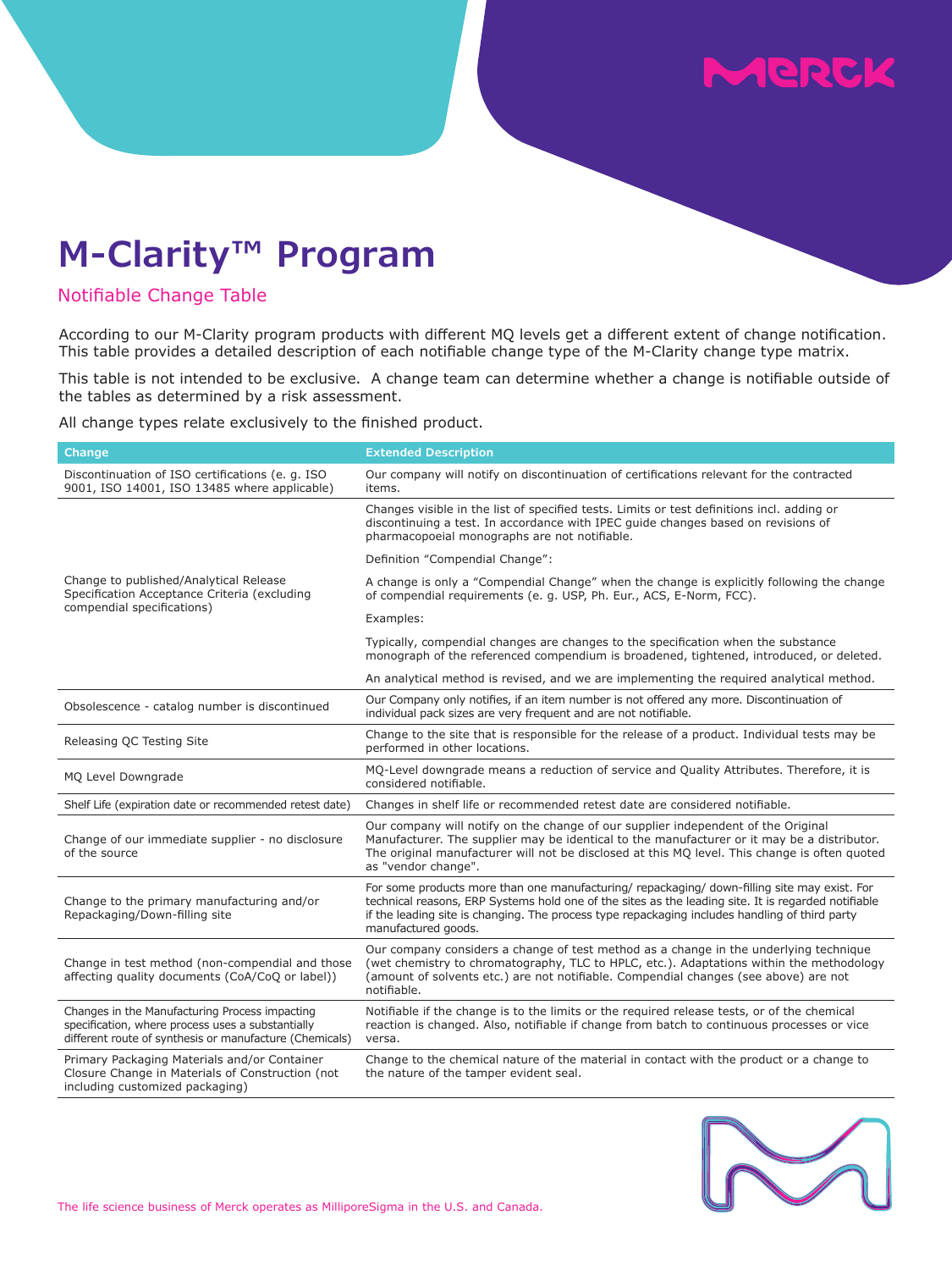# **SICRAY**

### **M-Clarity™ Program**

#### Notifiable Change Table

According to our M-Clarity program products with different MQ levels get a different extent of change notification. This table provides a detailed description of each notifiable change type of the M-Clarity change type matrix.

This table is not intended to be exclusive. A change team can determine whether a change is notifiable outside of the tables as determined by a risk assessment.

All change types relate exclusively to the finished product.

| <b>Change</b>                                                                                                                                                  | <b>Extended Description</b>                                                                                                                                                                                                                                                                                                  |  |  |  |  |
|----------------------------------------------------------------------------------------------------------------------------------------------------------------|------------------------------------------------------------------------------------------------------------------------------------------------------------------------------------------------------------------------------------------------------------------------------------------------------------------------------|--|--|--|--|
| Discontinuation of ISO certifications (e. g. ISO<br>9001, ISO 14001, ISO 13485 where applicable)                                                               | Our company will notify on discontinuation of certifications relevant for the contracted<br>items.                                                                                                                                                                                                                           |  |  |  |  |
| Change to published/Analytical Release<br>Specification Acceptance Criteria (excluding<br>compendial specifications)                                           | Changes visible in the list of specified tests. Limits or test definitions incl. adding or<br>discontinuing a test. In accordance with IPEC guide changes based on revisions of<br>pharmacopoeial monographs are not notifiable.                                                                                             |  |  |  |  |
|                                                                                                                                                                | Definition "Compendial Change":                                                                                                                                                                                                                                                                                              |  |  |  |  |
|                                                                                                                                                                | A change is only a "Compendial Change" when the change is explicitly following the change<br>of compendial requirements (e. g. USP, Ph. Eur., ACS, E-Norm, FCC).                                                                                                                                                             |  |  |  |  |
|                                                                                                                                                                | Examples:                                                                                                                                                                                                                                                                                                                    |  |  |  |  |
|                                                                                                                                                                | Typically, compendial changes are changes to the specification when the substance<br>monograph of the referenced compendium is broadened, tightened, introduced, or deleted.                                                                                                                                                 |  |  |  |  |
|                                                                                                                                                                | An analytical method is revised, and we are implementing the required analytical method.                                                                                                                                                                                                                                     |  |  |  |  |
| Obsolescence - catalog number is discontinued                                                                                                                  | Our Company only notifies, if an item number is not offered any more. Discontinuation of<br>individual pack sizes are very frequent and are not notifiable.                                                                                                                                                                  |  |  |  |  |
| Releasing QC Testing Site                                                                                                                                      | Change to the site that is responsible for the release of a product. Individual tests may be<br>performed in other locations.                                                                                                                                                                                                |  |  |  |  |
| MQ Level Downgrade                                                                                                                                             | MQ-Level downgrade means a reduction of service and Quality Attributes. Therefore, it is<br>considered notifiable.                                                                                                                                                                                                           |  |  |  |  |
| Shelf Life (expiration date or recommended retest date)                                                                                                        | Changes in shelf life or recommended retest date are considered notifiable.                                                                                                                                                                                                                                                  |  |  |  |  |
| Change of our immediate supplier - no disclosure<br>of the source                                                                                              | Our company will notify on the change of our supplier independent of the Original<br>Manufacturer. The supplier may be identical to the manufacturer or it may be a distributor.<br>The original manufacturer will not be disclosed at this MQ level. This change is often quoted<br>as "vendor change".                     |  |  |  |  |
| Change to the primary manufacturing and/or<br>Repackaging/Down-filling site                                                                                    | For some products more than one manufacturing/ repackaging/ down-filling site may exist. For<br>technical reasons, ERP Systems hold one of the sites as the leading site. It is regarded notifiable<br>if the leading site is changing. The process type repackaging includes handling of third party<br>manufactured goods. |  |  |  |  |
| Change in test method (non-compendial and those<br>affecting quality documents (CoA/CoQ or label))                                                             | Our company considers a change of test method as a change in the underlying technique<br>(wet chemistry to chromatography, TLC to HPLC, etc.). Adaptations within the methodology<br>(amount of solvents etc.) are not notifiable. Compendial changes (see above) are not<br>notifiable.                                     |  |  |  |  |
| Changes in the Manufacturing Process impacting<br>specification, where process uses a substantially<br>different route of synthesis or manufacture (Chemicals) | Notifiable if the change is to the limits or the required release tests, or of the chemical<br>reaction is changed. Also, notifiable if change from batch to continuous processes or vice<br>versa.                                                                                                                          |  |  |  |  |
| Primary Packaging Materials and/or Container<br>Closure Change in Materials of Construction (not<br>including customized packaging)                            | Change to the chemical nature of the material in contact with the product or a change to<br>the nature of the tamper evident seal.                                                                                                                                                                                           |  |  |  |  |